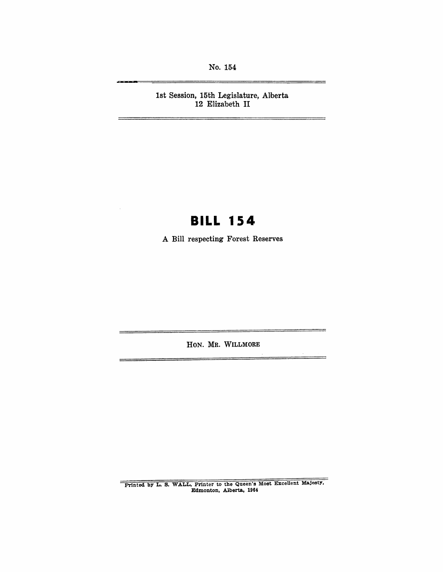No. 154

1st Session, 15th Legislature, Alberta 12 Elizabeth **II** 

# **BILL 154**

A Bill respecting Forest Reserves

HON. MR. WILLMORE

 $\equiv$ 

Printed by L. S. WALL, Printer to the Queen's Most Excellent Majesty, Edmonton, Alberta, 1964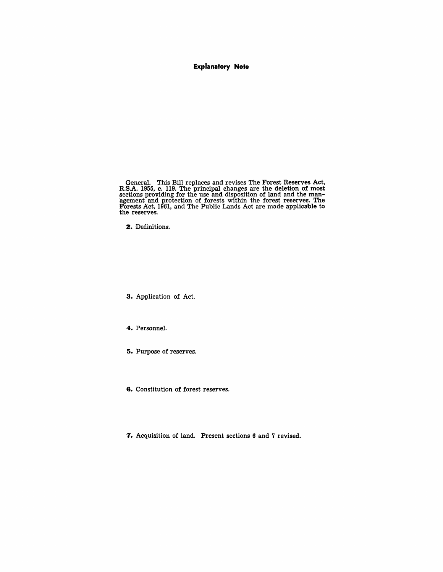#### **Explanatory Note**

General. This Bill replaces and revises The Forest Reserves Act, R.S.A. 1955, c. 119. The principal changes are the deletion of most sections providing for the use and disposition of land and the man-agement and protection of forests within the forest reserves. The Forests Act, 1961, and The Public Lands Act are made applicable to the reserves.

**2.** Definitions.

**3.** Application of Act.

**4.** Personnel.

**5.** Purpose of reserves.

**6.** Constitution of forest reserves.

**7.** Acquisition of land. Present sections 6 and 7 revised.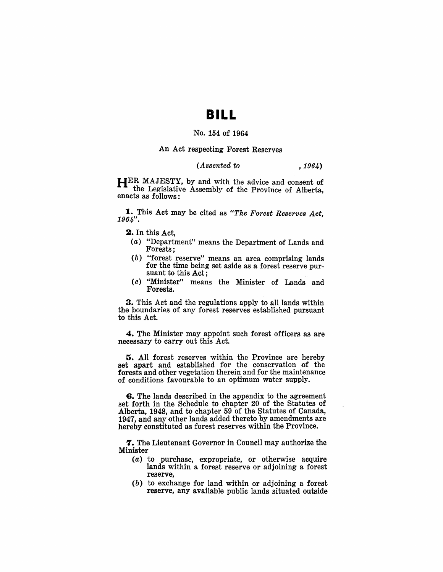## **BILL**

#### No. 154 of 1964

#### An Act respecting Forest Reserves

#### *(Assented to* , 1964)

HER MAJESTY, by and with the advice and consent of the Legislative Assembly of the Province of Alberta, enacts as follows:

**1.** This Act may be cited as "The Forest Reserves Act, 1964".

2. In this Act,

- (a) "Department" means the Department of Lands and Forests:
- (b) "forest reserve" means an area comprising lands for the time being set aside as a forest reserve pursuant to this Act;
- ( c) "Minister" means the Minister of Lands and Forests.

3. This Act and the regulations apply to all lands within the boundaries of any forest reserves established pursuant to this Act.

4. The Minister may appoint such forest officers as are necessary to carry out this Act.

5. All forest reserves within the Province are hereby set apart and established for the conservation of the forests and other vegetation therein and for the maintenance of conditions favourable to an optimum water supply.

6. The lands described in the appendix to the agreement set forth in the Schedule to chapter 20 of the Statutes of Alberta, 1948, and to chapter 59 of the Statutes of Canada, 1947, and any other lands added thereto by amendments are hereby constituted as forest reserves within the Province.

**7.** The Lieutenant Governor in Council may authorize the Minister

- $(a)$  to purchase, expropriate, or otherwise acquire lands within a forest reserve or adjoining a forest reserve,
- $(b)$  to exchange for land within or adjoining a forest reserve, any available public lands situated outside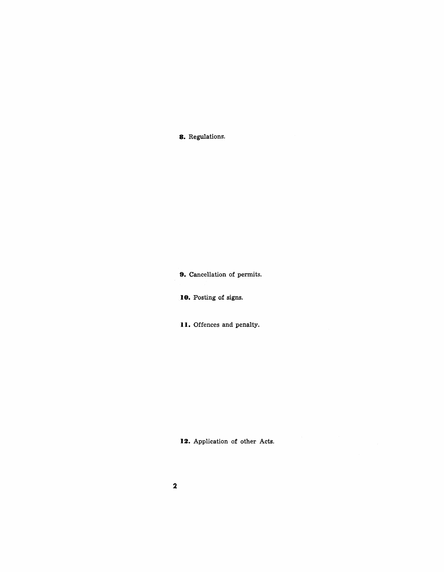**8.** Regulations.

**9.** Cancellation of permits.

**10.** Posting of signs.

**II.** Offences and penalty.

12. Application of other Acts.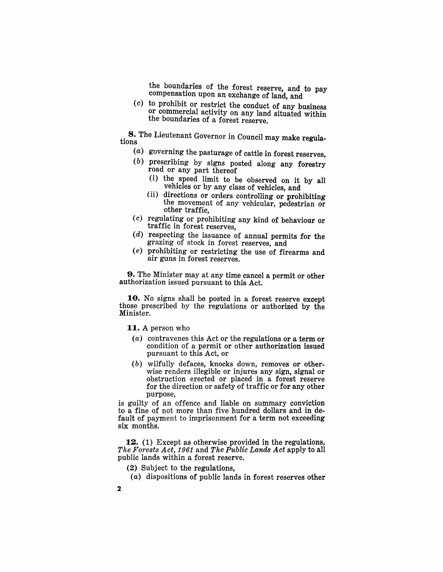the boundaries of the forest reserve, and to pay compensation upon an exchange of land, and

 $(c)$  to prohibit or restrict the conduct of any business or commercial activity on any land situated within the boundaries of a forest reserve.

**8.** The Lieutenant Governor in Council may make regulations

- (a) governing the pasturage of cattle in forest reserves,
- ( $b$ ) prescribing by signs posted along any forestry road or any part thereof
	- (i) the speed limit to be observed on it by all vehicles or by any class of vehicles, and
	- ( ii) directions or orders controlling or prohibiting the movement of any vehicular, pedestrian or other traffic,
- $(c)$  regulating or prohibiting any kind of behaviour or traffic in forest reserves,
- $(d)$  respecting the issuance of annual permits for the grazing of stock in forest reserves, and
- (e) prohibiting or restricting the use of firearms and air guns in forest reserves.

9. The Minister may at any time cancel a permit or other authorization issued pursuant to this Act.

10. No signs shall be posted in a forest reserve except those prescribed by the regulations or authorized by the Minister.

**11.** A person who

- (a) contravenes this Act or the regulations or a term or condition of a permit or other authorization issued pursuant to this Act, or
- $(b)$  wilfully defaces, knocks down, removes or otherwise renders illegible or injures any sign, signal or obstruction erected or placed in a forest reserve for the direction or safety of traffic or for any other purpose,

is guilty of an offence and liable on summary conviction to a fine of not more than five hundred dollars and in default of payment to imprisonment for a term not exceeding six months.

12. (1) Except as otherwise provided in the regulations, *The Forests Act,* 1961 and *The Public Lands Act* apply to all public lands within a forest reserve.

- (2) Subject to the regulations,
- (a) dispositions of public lands in forest reserves other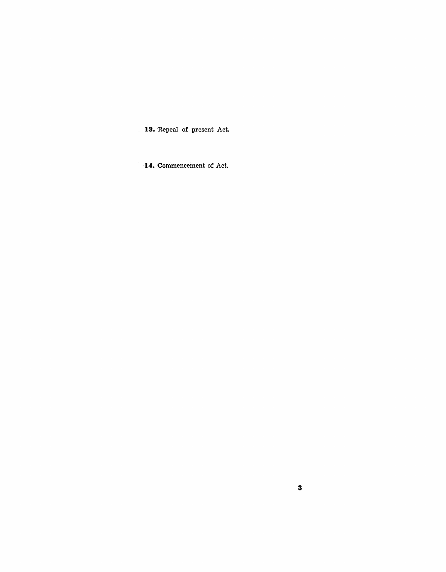13. Repeal of present Act.

**14.** Commencement of Act.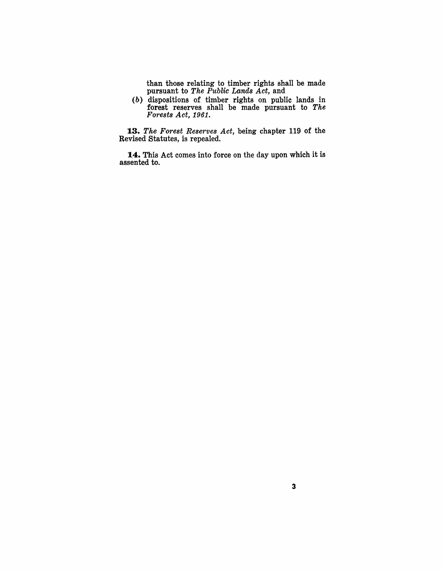than those relating to timber rights shall be made pursuant to *The Public Lands Act,* and

(b) dispositions of timber rights on public lands in forest reserves shall be made pursuant to *The Forests Act, 1961.* 

*13. The Forest Reserves Act,* being chapter 119 of the Revised Statutes, is repealed.

14. This Act comes into force on the day upon which it is assented to.